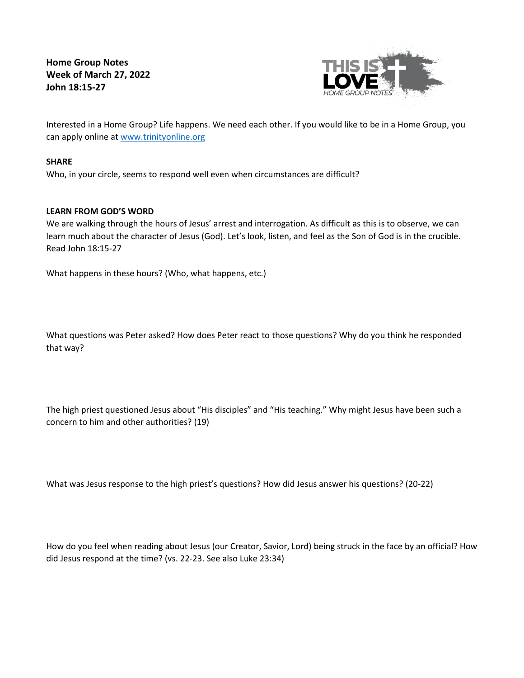**Home Group Notes Week of March 27, 2022 John 18:15-27**



Interested in a Home Group? Life happens. We need each other. If you would like to be in a Home Group, you can apply online at [www.trinityonline.org](http://www.trinityonline.org/)

## **SHARE**

Who, in your circle, seems to respond well even when circumstances are difficult?

# **LEARN FROM GOD'S WORD**

We are walking through the hours of Jesus' arrest and interrogation. As difficult as this is to observe, we can learn much about the character of Jesus (God). Let's look, listen, and feel as the Son of God is in the crucible. Read John 18:15-27

What happens in these hours? (Who, what happens, etc.)

What questions was Peter asked? How does Peter react to those questions? Why do you think he responded that way?

The high priest questioned Jesus about "His disciples" and "His teaching." Why might Jesus have been such a concern to him and other authorities? (19)

What was Jesus response to the high priest's questions? How did Jesus answer his questions? (20-22)

How do you feel when reading about Jesus (our Creator, Savior, Lord) being struck in the face by an official? How did Jesus respond at the time? (vs. 22-23. See also Luke 23:34)